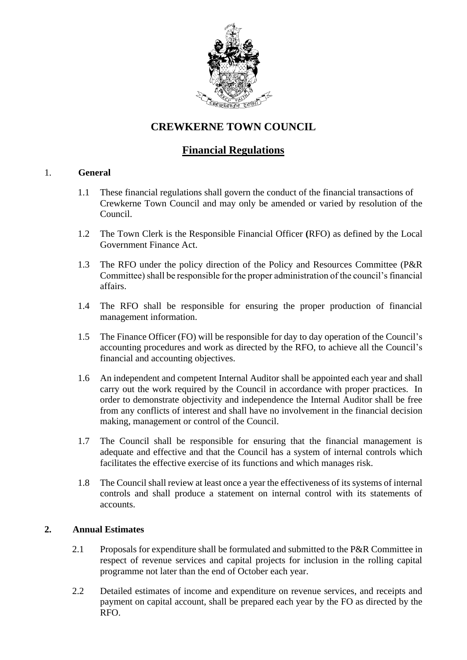

# **CREWKERNE TOWN COUNCIL**

# **Financial Regulations**

# 1. **General**

- 1.1 These financial regulations shall govern the conduct of the financial transactions of Crewkerne Town Council and may only be amended or varied by resolution of the Council.
- 1.2 The Town Clerk is the Responsible Financial Officer **(**RFO) as defined by the Local Government Finance Act.
- 1.3 The RFO under the policy direction of the Policy and Resources Committee (P&R Committee) shall be responsible for the proper administration of the council's financial affairs.
- 1.4 The RFO shall be responsible for ensuring the proper production of financial management information.
- 1.5 The Finance Officer (FO) will be responsible for day to day operation of the Council's accounting procedures and work as directed by the RFO, to achieve all the Council's financial and accounting objectives.
- 1.6 An independent and competent Internal Auditor shall be appointed each year and shall carry out the work required by the Council in accordance with proper practices. In order to demonstrate objectivity and independence the Internal Auditor shall be free from any conflicts of interest and shall have no involvement in the financial decision making, management or control of the Council.
- 1.7 The Council shall be responsible for ensuring that the financial management is adequate and effective and that the Council has a system of internal controls which facilitates the effective exercise of its functions and which manages risk.
- 1.8 The Council shall review at least once a year the effectiveness of its systems of internal controls and shall produce a statement on internal control with its statements of accounts.

# **2. Annual Estimates**

- 2.1 Proposals for expenditure shall be formulated and submitted to the P&R Committee in respect of revenue services and capital projects for inclusion in the rolling capital programme not later than the end of October each year.
- 2.2 Detailed estimates of income and expenditure on revenue services, and receipts and payment on capital account, shall be prepared each year by the FO as directed by the RFO.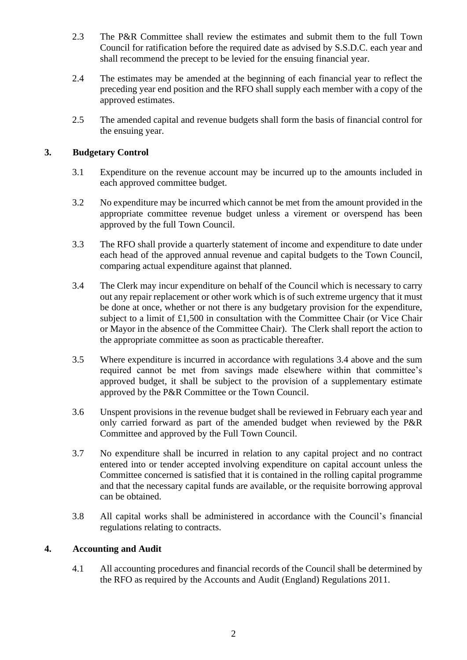- 2.3 The P&R Committee shall review the estimates and submit them to the full Town Council for ratification before the required date as advised by S.S.D.C. each year and shall recommend the precept to be levied for the ensuing financial year.
- 2.4 The estimates may be amended at the beginning of each financial year to reflect the preceding year end position and the RFO shall supply each member with a copy of the approved estimates.
- 2.5 The amended capital and revenue budgets shall form the basis of financial control for the ensuing year.

# **3. Budgetary Control**

- 3.1 Expenditure on the revenue account may be incurred up to the amounts included in each approved committee budget.
- 3.2 No expenditure may be incurred which cannot be met from the amount provided in the appropriate committee revenue budget unless a virement or overspend has been approved by the full Town Council.
- 3.3 The RFO shall provide a quarterly statement of income and expenditure to date under each head of the approved annual revenue and capital budgets to the Town Council, comparing actual expenditure against that planned.
- 3.4 The Clerk may incur expenditure on behalf of the Council which is necessary to carry out any repair replacement or other work which is of such extreme urgency that it must be done at once, whether or not there is any budgetary provision for the expenditure, subject to a limit of £1,500 in consultation with the Committee Chair (or Vice Chair or Mayor in the absence of the Committee Chair). The Clerk shall report the action to the appropriate committee as soon as practicable thereafter.
- 3.5 Where expenditure is incurred in accordance with regulations 3.4 above and the sum required cannot be met from savings made elsewhere within that committee's approved budget, it shall be subject to the provision of a supplementary estimate approved by the P&R Committee or the Town Council.
- 3.6 Unspent provisions in the revenue budget shall be reviewed in February each year and only carried forward as part of the amended budget when reviewed by the P&R Committee and approved by the Full Town Council.
- 3.7 No expenditure shall be incurred in relation to any capital project and no contract entered into or tender accepted involving expenditure on capital account unless the Committee concerned is satisfied that it is contained in the rolling capital programme and that the necessary capital funds are available, or the requisite borrowing approval can be obtained.
- 3.8 All capital works shall be administered in accordance with the Council's financial regulations relating to contracts.

# **4. Accounting and Audit**

4.1 All accounting procedures and financial records of the Council shall be determined by the RFO as required by the Accounts and Audit (England) Regulations 2011.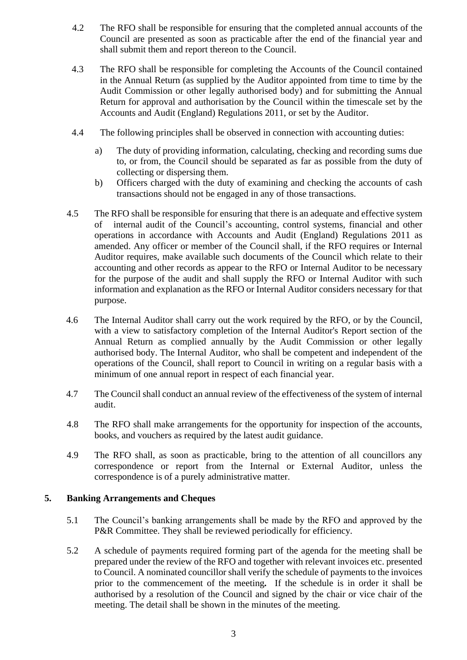- 4.2 The RFO shall be responsible for ensuring that the completed annual accounts of the Council are presented as soon as practicable after the end of the financial year and shall submit them and report thereon to the Council.
- 4.3 The RFO shall be responsible for completing the Accounts of the Council contained in the Annual Return (as supplied by the Auditor appointed from time to time by the Audit Commission or other legally authorised body) and for submitting the Annual Return for approval and authorisation by the Council within the timescale set by the Accounts and Audit (England) Regulations 2011, or set by the Auditor.
- 4.4 The following principles shall be observed in connection with accounting duties:
	- a) The duty of providing information, calculating, checking and recording sums due to, or from, the Council should be separated as far as possible from the duty of collecting or dispersing them.
	- b) Officers charged with the duty of examining and checking the accounts of cash transactions should not be engaged in any of those transactions.
- 4.5 The RFO shall be responsible for ensuring that there is an adequate and effective system of internal audit of the Council's accounting, control systems*,* financial and other operations in accordance with Accounts and Audit (England) Regulations 2011 as amended. Any officer or member of the Council shall, if the RFO requires or Internal Auditor requires, make available such documents of the Council which relate to their accounting and other records as appear to the RFO or Internal Auditor to be necessary for the purpose of the audit and shall supply the RFO or Internal Auditor with such information and explanation as the RFO or Internal Auditor considers necessary for that purpose.
- 4.6 The Internal Auditor shall carry out the work required by the RFO, or by the Council, with a view to satisfactory completion of the Internal Auditor's Report section of the Annual Return as complied annually by the Audit Commission or other legally authorised body. The Internal Auditor, who shall be competent and independent of the operations of the Council, shall report to Council in writing on a regular basis with a minimum of one annual report in respect of each financial year.
- 4.7 The Council shall conduct an annual review of the effectiveness of the system of internal audit.
- 4.8 The RFO shall make arrangements for the opportunity for inspection of the accounts, books, and vouchers as required by the latest audit guidance.
- 4.9 The RFO shall, as soon as practicable, bring to the attention of all councillors any correspondence or report from the Internal or External Auditor, unless the correspondence is of a purely administrative matter.

# **5. Banking Arrangements and Cheques**

- 5.1 The Council's banking arrangements shall be made by the RFO and approved by the P&R Committee. They shall be reviewed periodically for efficiency*.*
- 5.2 A schedule of payments required forming part of the agenda for the meeting shall be prepared under the review of the RFO and together with relevant invoices etc. presented to Council. A nominated councillor shall verify the schedule of payments to the invoices prior to the commencement of the meeting*.* If the schedule is in order it shall be authorised by a resolution of the Council and signed by the chair or vice chair of the meeting. The detail shall be shown in the minutes of the meeting*.*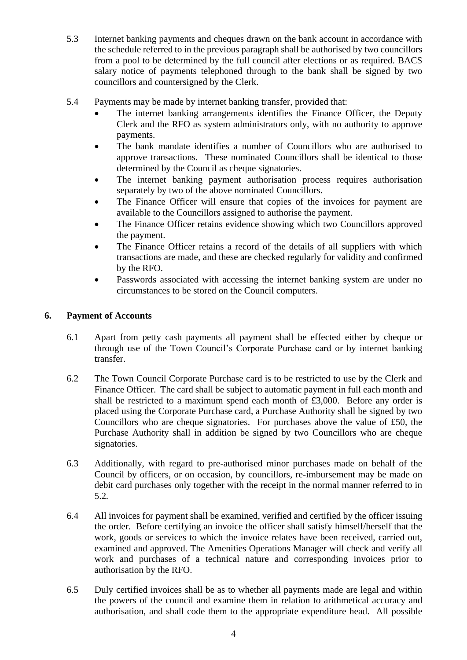- 5.3 Internet banking payments and cheques drawn on the bank account in accordance with the schedule referred to in the previous paragraph shall be authorised by two councillors from a pool to be determined by the full council after elections or as required. BACS salary notice of payments telephoned through to the bank shall be signed by two councillors and countersigned by the Clerk.
- 5.4 Payments may be made by internet banking transfer, provided that:
	- The internet banking arrangements identifies the Finance Officer, the Deputy Clerk and the RFO as system administrators only, with no authority to approve payments.
	- The bank mandate identifies a number of Councillors who are authorised to approve transactions. These nominated Councillors shall be identical to those determined by the Council as cheque signatories.
	- The internet banking payment authorisation process requires authorisation separately by two of the above nominated Councillors.
	- The Finance Officer will ensure that copies of the invoices for payment are available to the Councillors assigned to authorise the payment.
	- The Finance Officer retains evidence showing which two Councillors approved the payment.
	- The Finance Officer retains a record of the details of all suppliers with which transactions are made, and these are checked regularly for validity and confirmed by the RFO.
	- Passwords associated with accessing the internet banking system are under no circumstances to be stored on the Council computers.

# **6. Payment of Accounts**

- 6.1 Apart from petty cash payments all payment shall be effected either by cheque or through use of the Town Council's Corporate Purchase card or by internet banking transfer.
- 6.2 The Town Council Corporate Purchase card is to be restricted to use by the Clerk and Finance Officer. The card shall be subject to automatic payment in full each month and shall be restricted to a maximum spend each month of £3,000. Before any order is placed using the Corporate Purchase card, a Purchase Authority shall be signed by two Councillors who are cheque signatories. For purchases above the value of £50, the Purchase Authority shall in addition be signed by two Councillors who are cheque signatories.
- 6.3 Additionally, with regard to pre-authorised minor purchases made on behalf of the Council by officers, or on occasion, by councillors, re-imbursement may be made on debit card purchases only together with the receipt in the normal manner referred to in 5.2*.*
- 6.4 All invoices for payment shall be examined, verified and certified by the officer issuing the order. Before certifying an invoice the officer shall satisfy himself/herself that the work, goods or services to which the invoice relates have been received, carried out, examined and approved. The Amenities Operations Manager will check and verify all work and purchases of a technical nature and corresponding invoices prior to authorisation by the RFO.
- 6.5 Duly certified invoices shall be as to whether all payments made are legal and within the powers of the council and examine them in relation to arithmetical accuracy and authorisation, and shall code them to the appropriate expenditure head. All possible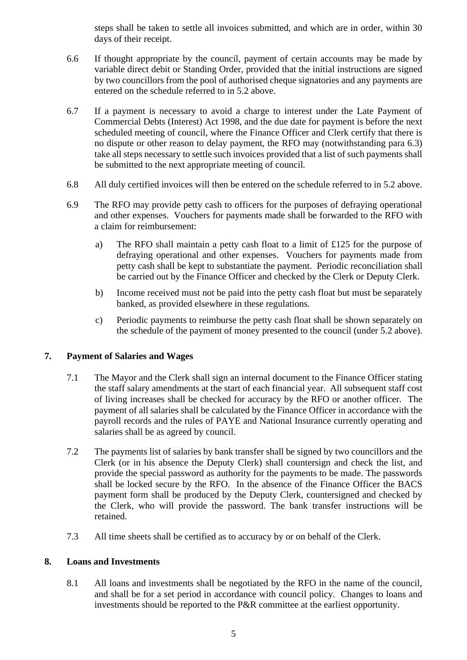steps shall be taken to settle all invoices submitted, and which are in order, within 30 days of their receipt.

- 6.6 If thought appropriate by the council, payment of certain accounts may be made by variable direct debit or Standing Order, provided that the initial instructions are signed by two councillors from the pool of authorised cheque signatories and any payments are entered on the schedule referred to in 5.2 above.
- 6.7 If a payment is necessary to avoid a charge to interest under the Late Payment of Commercial Debts (Interest) Act 1998, and the due date for payment is before the next scheduled meeting of council, where the Finance Officer and Clerk certify that there is no dispute or other reason to delay payment, the RFO may (notwithstanding para 6.3) take all steps necessary to settle such invoices provided that a list of such payments shall be submitted to the next appropriate meeting of council*.*
- 6.8 All duly certified invoices will then be entered on the schedule referred to in 5.2 above.
- 6.9 The RFO may provide petty cash to officers for the purposes of defraying operational and other expenses. Vouchers for payments made shall be forwarded to the RFO with a claim for reimbursement:
	- a) The RFO shall maintain a petty cash float to a limit of £125 for the purpose of defraying operational and other expenses. Vouchers for payments made from petty cash shall be kept to substantiate the payment. Periodic reconciliation shall be carried out by the Finance Officer and checked by the Clerk or Deputy Clerk.
	- b) Income received must not be paid into the petty cash float but must be separately banked, as provided elsewhere in these regulations.
	- c) Periodic payments to reimburse the petty cash float shall be shown separately on the schedule of the payment of money presented to the council (under 5.2 above).

# **7. Payment of Salaries and Wages**

- 7.1 The Mayor and the Clerk shall sign an internal document to the Finance Officer stating the staff salary amendments at the start of each financial year. All subsequent staff cost of living increases shall be checked for accuracy by the RFO or another officer*.* The payment of all salaries shall be calculated by the Finance Officer in accordance with the payroll records and the rules of PAYE and National Insurance currently operating and salaries shall be as agreed by council.
- 7.2 The payments list of salaries by bank transfer shall be signed by two councillors and the Clerk (or in his absence the Deputy Clerk) shall countersign and check the list, and provide the special password as authority for the payments to be made. The passwords shall be locked secure by the RFO. In the absence of the Finance Officer the BACS payment form shall be produced by the Deputy Clerk, countersigned and checked by the Clerk, who will provide the password. The bank transfer instructions will be retained*.*
- 7.3 All time sheets shall be certified as to accuracy by or on behalf of the Clerk.

# **8. Loans and Investments**

8.1 All loans and investments shall be negotiated by the RFO in the name of the council, and shall be for a set period in accordance with council policy. Changes to loans and investments should be reported to the P&R committee at the earliest opportunity.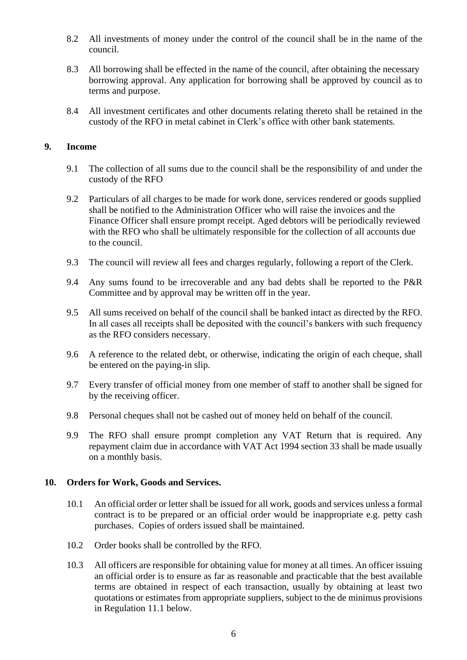- 8.2 All investments of money under the control of the council shall be in the name of the council.
- 8.3 All borrowing shall be effected in the name of the council, after obtaining the necessary borrowing approval. Any application for borrowing shall be approved by council as to terms and purpose.
- 8.4 All investment certificates and other documents relating thereto shall be retained in the custody of the RFO in metal cabinet in Clerk's office with other bank statements*.*

#### **9. Income**

- 9.1 The collection of all sums due to the council shall be the responsibility of and under the custody of the RFO
- 9.2 Particulars of all charges to be made for work done, services rendered or goods supplied shall be notified to the Administration Officer who will raise the invoices and the Finance Officer shall ensure prompt receipt. Aged debtors will be periodically reviewed with the RFO who shall be ultimately responsible for the collection of all accounts due to the council.
- 9.3 The council will review all fees and charges regularly, following a report of the Clerk.
- 9.4 Any sums found to be irrecoverable and any bad debts shall be reported to the P&R Committee and by approval may be written off in the year.
- 9.5 All sums received on behalf of the council shall be banked intact as directed by the RFO. In all cases all receipts shall be deposited with the council's bankers with such frequency as the RFO considers necessary.
- 9.6 A reference to the related debt, or otherwise, indicating the origin of each cheque, shall be entered on the paying-in slip.
- 9.7 Every transfer of official money from one member of staff to another shall be signed for by the receiving officer.
- 9.8 Personal cheques shall not be cashed out of money held on behalf of the council.
- 9.9 The RFO shall ensure prompt completion any VAT Return that is required. Any repayment claim due in accordance with VAT Act 1994 section 33 shall be made usually on a monthly basis.

#### **10. Orders for Work, Goods and Services.**

- 10.1 An official order or letter shall be issued for all work, goods and services unless a formal contract is to be prepared or an official order would be inappropriate e.g. petty cash purchases. Copies of orders issued shall be maintained.
- 10.2 Order books shall be controlled by the RFO.
- 10.3 All officers are responsible for obtaining value for money at all times. An officer issuing an official order is to ensure as far as reasonable and practicable that the best available terms are obtained in respect of each transaction, usually by obtaining at least two quotations or estimates from appropriate suppliers, subject to the de minimus provisions in Regulation 11.1 below.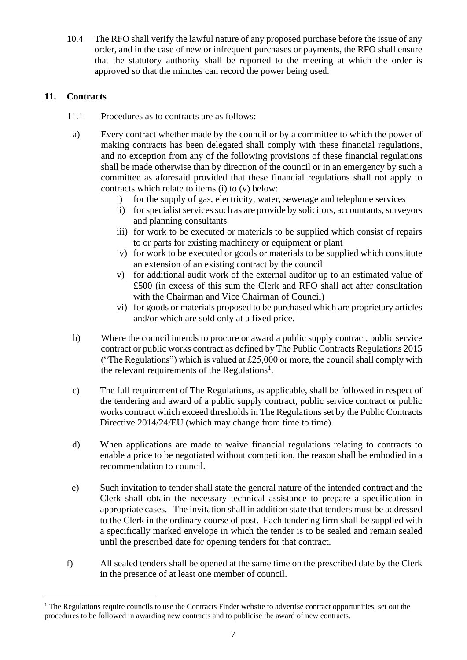10.4 The RFO shall verify the lawful nature of any proposed purchase before the issue of any order, and in the case of new or infrequent purchases or payments, the RFO shall ensure that the statutory authority shall be reported to the meeting at which the order is approved so that the minutes can record the power being used.

# **11. Contracts**

- 11.1 Procedures as to contracts are as follows:
	- a) Every contract whether made by the council or by a committee to which the power of making contracts has been delegated shall comply with these financial regulations, and no exception from any of the following provisions of these financial regulations shall be made otherwise than by direction of the council or in an emergency by such a committee as aforesaid provided that these financial regulations shall not apply to contracts which relate to items (i) to (v) below:
		- i) for the supply of gas, electricity, water, sewerage and telephone services
		- ii) for specialist services such as are provide by solicitors, accountants, surveyors and planning consultants
		- iii) for work to be executed or materials to be supplied which consist of repairs to or parts for existing machinery or equipment or plant
		- iv) for work to be executed or goods or materials to be supplied which constitute an extension of an existing contract by the council
		- v) for additional audit work of the external auditor up to an estimated value of £500 (in excess of this sum the Clerk and RFO shall act after consultation with the Chairman and Vice Chairman of Council)
		- vi) for goods or materials proposed to be purchased which are proprietary articles and/or which are sold only at a fixed price.
	- b) Where the council intends to procure or award a public supply contract, public service contract or public works contract as defined by The Public Contracts Regulations 2015 ("The Regulations") which is valued at  $£25,000$  or more, the council shall comply with the relevant requirements of the Regulations<sup>1</sup>.
	- c) The full requirement of The Regulations, as applicable, shall be followed in respect of the tendering and award of a public supply contract, public service contract or public works contract which exceed thresholds in The Regulations set by the Public Contracts Directive 2014/24/EU (which may change from time to time).
	- d) When applications are made to waive financial regulations relating to contracts to enable a price to be negotiated without competition, the reason shall be embodied in a recommendation to council.
- e) Such invitation to tender shall state the general nature of the intended contract and the Clerk shall obtain the necessary technical assistance to prepare a specification in appropriate cases. The invitation shall in addition state that tenders must be addressed to the Clerk in the ordinary course of post. Each tendering firm shall be supplied with a specifically marked envelope in which the tender is to be sealed and remain sealed until the prescribed date for opening tenders for that contract.
- f) All sealed tenders shall be opened at the same time on the prescribed date by the Clerk in the presence of at least one member of council.

 $<sup>1</sup>$  The Regulations require councils to use the Contracts Finder website to advertise contract opportunities, set out the</sup> procedures to be followed in awarding new contracts and to publicise the award of new contracts.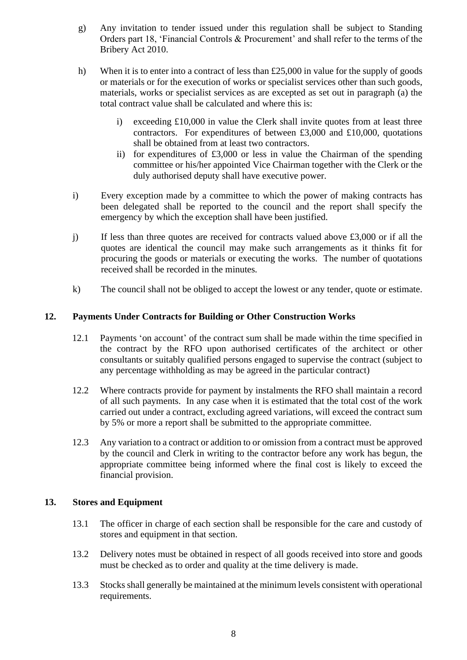- g) Any invitation to tender issued under this regulation shall be subject to Standing Orders part 18, 'Financial Controls & Procurement' and shall refer to the terms of the Bribery Act 2010.
- h) When it is to enter into a contract of less than £25,000 in value for the supply of goods or materials or for the execution of works or specialist services other than such goods, materials, works or specialist services as are excepted as set out in paragraph (a) the total contract value shall be calculated and where this is:
	- i) exceeding £10,000 in value the Clerk shall invite quotes from at least three contractors. For expenditures of between £3,000 and £10,000, quotations shall be obtained from at least two contractors.
	- ii) for expenditures of £3,000 or less in value the Chairman of the spending committee or his/her appointed Vice Chairman together with the Clerk or the duly authorised deputy shall have executive power.
- i) Every exception made by a committee to which the power of making contracts has been delegated shall be reported to the council and the report shall specify the emergency by which the exception shall have been justified.
- j) If less than three quotes are received for contracts valued above £3,000 or if all the quotes are identical the council may make such arrangements as it thinks fit for procuring the goods or materials or executing the works. The number of quotations received shall be recorded in the minutes*.*
- k) The council shall not be obliged to accept the lowest or any tender, quote or estimate.

### **12. Payments Under Contracts for Building or Other Construction Works**

- 12.1 Payments 'on account' of the contract sum shall be made within the time specified in the contract by the RFO upon authorised certificates of the architect or other consultants or suitably qualified persons engaged to supervise the contract (subject to any percentage withholding as may be agreed in the particular contract)
- 12.2 Where contracts provide for payment by instalments the RFO shall maintain a record of all such payments. In any case when it is estimated that the total cost of the work carried out under a contract, excluding agreed variations, will exceed the contract sum by 5% or more a report shall be submitted to the appropriate committee.
- 12.3 Any variation to a contract or addition to or omission from a contract must be approved by the council and Clerk in writing to the contractor before any work has begun, the appropriate committee being informed where the final cost is likely to exceed the financial provision.

#### **13. Stores and Equipment**

- 13.1 The officer in charge of each section shall be responsible for the care and custody of stores and equipment in that section.
- 13.2 Delivery notes must be obtained in respect of all goods received into store and goods must be checked as to order and quality at the time delivery is made.
- 13.3 Stocks shall generally be maintained at the minimum levels consistent with operational requirements.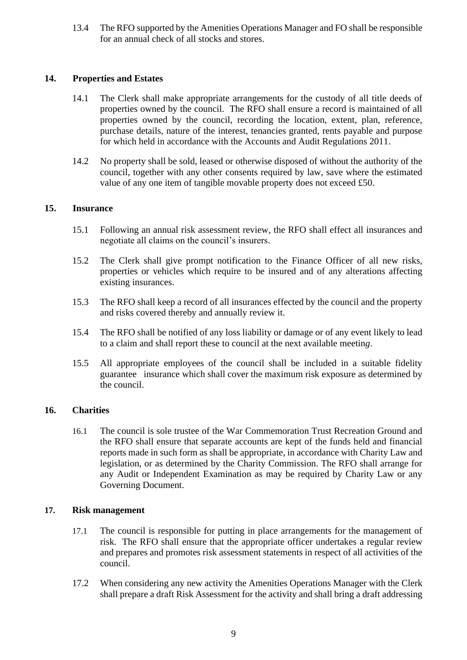13.4 The RFO supported by the Amenities Operations Manager and FO shall be responsible for an annual check of all stocks and stores.

### **14. Properties and Estates**

- 14.1 The Clerk shall make appropriate arrangements for the custody of all title deeds of properties owned by the council. The RFO shall ensure a record is maintained of all properties owned by the council, recording the location, extent, plan, reference, purchase details, nature of the interest, tenancies granted, rents payable and purpose for which held in accordance with the Accounts and Audit Regulations 2011.
- 14.2 No property shall be sold, leased or otherwise disposed of without the authority of the council, together with any other consents required by law, save where the estimated value of any one item of tangible movable property does not exceed £50.

### **15. Insurance**

- 15.1 Following an annual risk assessment review*,* the RFO shall effect all insurances and negotiate all claims on the council's insurers.
- 15.2 The Clerk shall give prompt notification to the Finance Officer of all new risks, properties or vehicles which require to be insured and of any alterations affecting existing insurances.
- 15.3 The RFO shall keep a record of all insurances effected by the council and the property and risks covered thereby and annually review it.
- 15.4 The RFO shall be notified of any loss liability or damage or of any event likely to lead to a claim and shall report these to council at the next available meetin*g*.
- 15.5 All appropriate employees of the council shall be included in a suitable fidelity guarantee insurance which shall cover the maximum risk exposure as determined by the council.

# **16. Charities**

16.1 The council is sole trustee of the War Commemoration Trust Recreation Ground and the RFO shall ensure that separate accounts are kept of the funds held and financial reports made in such form as shall be appropriate, in accordance with Charity Law and legislation, or as determined by the Charity Commission. The RFO shall arrange for any Audit or Independent Examination as may be required by Charity Law or any Governing Document.

#### **17. Risk management**

- 17.1 The council is responsible for putting in place arrangements for the management of risk. The RFO shall ensure that the appropriate officer undertakes a regular review and prepares and promotes risk assessment statements in respect of all activities of the council.
- 17.2 When considering any new activity the Amenities Operations Manager with the Clerk shall prepare a draft Risk Assessment for the activity and shall bring a draft addressing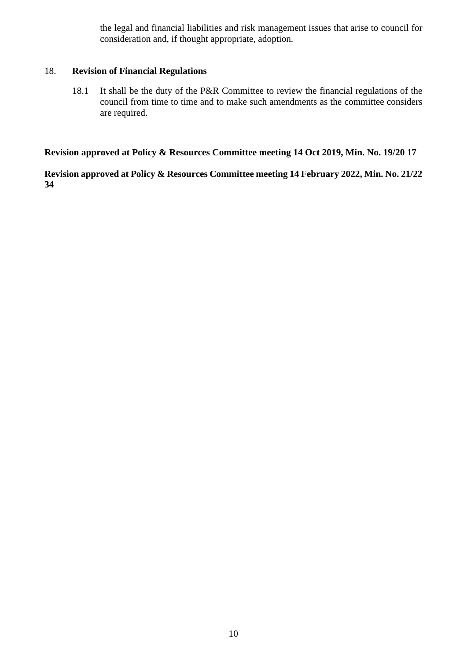the legal and financial liabilities and risk management issues that arise to council for consideration and, if thought appropriate, adoption*.*

### 18. **Revision of Financial Regulations**

18.1 It shall be the duty of the P&R Committee to review the financial regulations of the council from time to time and to make such amendments as the committee considers are required.

**Revision approved at Policy & Resources Committee meeting 14 Oct 2019, Min. No. 19/20 17**

**Revision approved at Policy & Resources Committee meeting 14 February 2022, Min. No. 21/22 34**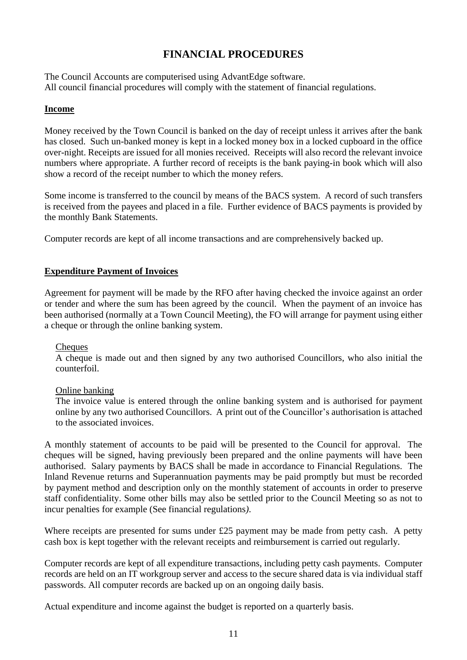# **FINANCIAL PROCEDURES**

The Council Accounts are computerised using AdvantEdge software. All council financial procedures will comply with the statement of financial regulations.

### **Income**

Money received by the Town Council is banked on the day of receipt unless it arrives after the bank has closed. Such un-banked money is kept in a locked money box in a locked cupboard in the office over-night. Receipts are issued for all monies received. Receipts will also record the relevant invoice numbers where appropriate. A further record of receipts is the bank paying-in book which will also show a record of the receipt number to which the money refers.

Some income is transferred to the council by means of the BACS system. A record of such transfers is received from the payees and placed in a file. Further evidence of BACS payments is provided by the monthly Bank Statements.

Computer records are kept of all income transactions and are comprehensively backed up.

### **Expenditure Payment of Invoices**

Agreement for payment will be made by the RFO after having checked the invoice against an order or tender and where the sum has been agreed by the council. When the payment of an invoice has been authorised (normally at a Town Council Meeting), the FO will arrange for payment using either a cheque or through the online banking system.

#### Cheques

A cheque is made out and then signed by any two authorised Councillors, who also initial the counterfoil.

#### Online banking

The invoice value is entered through the online banking system and is authorised for payment online by any two authorised Councillors. A print out of the Councillor's authorisation is attached to the associated invoices.

A monthly statement of accounts to be paid will be presented to the Council for approval. The cheques will be signed, having previously been prepared and the online payments will have been authorised. Salary payments by BACS shall be made in accordance to Financial Regulations.The Inland Revenue returns and Superannuation payments may be paid promptly but must be recorded by payment method and description only on the monthly statement of accounts in order to preserve staff confidentiality. Some other bills may also be settled prior to the Council Meeting so as not to incur penalties for example (See financial regulations*)*.

Where receipts are presented for sums under £25 payment may be made from petty cash. A petty cash box is kept together with the relevant receipts and reimbursement is carried out regularly*.*

Computer records are kept of all expenditure transactions, including petty cash payments. Computer records are held on an IT workgroup server and access to the secure shared data is via individual staff passwords. All computer records are backed up on an ongoing daily basis.

Actual expenditure and income against the budget is reported on a quarterly basis.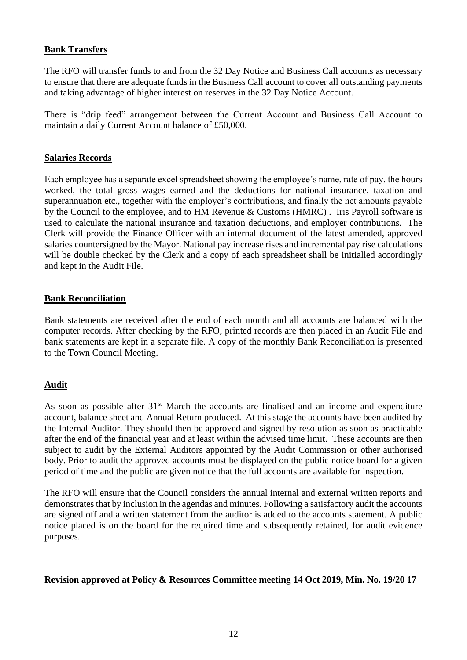### **Bank Transfers**

The RFO will transfer funds to and from the 32 Day Notice and Business Call accounts as necessary to ensure that there are adequate funds in the Business Call account to cover all outstanding payments and taking advantage of higher interest on reserves in the 32 Day Notice Account.

There is "drip feed" arrangement between the Current Account and Business Call Account to maintain a daily Current Account balance of £50,000.

#### **Salaries Records**

Each employee has a separate excel spreadsheet showing the employee's name, rate of pay, the hours worked, the total gross wages earned and the deductions for national insurance, taxation and superannuation etc., together with the employer's contributions, and finally the net amounts payable by the Council to the employee, and to HM Revenue & Customs (HMRC) . Iris Payroll software is used to calculate the national insurance and taxation deductions, and employer contributions*.* The Clerk will provide the Finance Officer with an internal document of the latest amended, approved salaries countersigned by the Mayor. National pay increase rises and incremental pay rise calculations will be double checked by the Clerk and a copy of each spreadsheet shall be initialled accordingly and kept in the Audit File.

### **Bank Reconciliation**

Bank statements are received after the end of each month and all accounts are balanced with the computer records. After checking by the RFO*,* printed records are then placed in an Audit File and bank statements are kept in a separate file. A copy of the monthly Bank Reconciliation is presented to the Town Council Meeting.

#### **Audit**

As soon as possible after  $31<sup>st</sup>$  March the accounts are finalised and an income and expenditure account, balance sheet and Annual Return produced. At this stage the accounts have been audited by the Internal Auditor. They should then be approved and signed by resolution as soon as practicable after the end of the financial year and at least within the advised time limit. These accounts are then subject to audit by the External Auditors appointed by the Audit Commission or other authorised body. Prior to audit the approved accounts must be displayed on the public notice board for a given period of time and the public are given notice that the full accounts are available for inspection.

The RFO will ensure that the Council considers the annual internal and external written reports and demonstrates that by inclusion in the agendas and minutes. Following a satisfactory audit the accounts are signed off and a written statement from the auditor is added to the accounts statement. A public notice placed is on the board for the required time and subsequently retained, for audit evidence purposes*.*

#### **Revision approved at Policy & Resources Committee meeting 14 Oct 2019, Min. No. 19/20 17**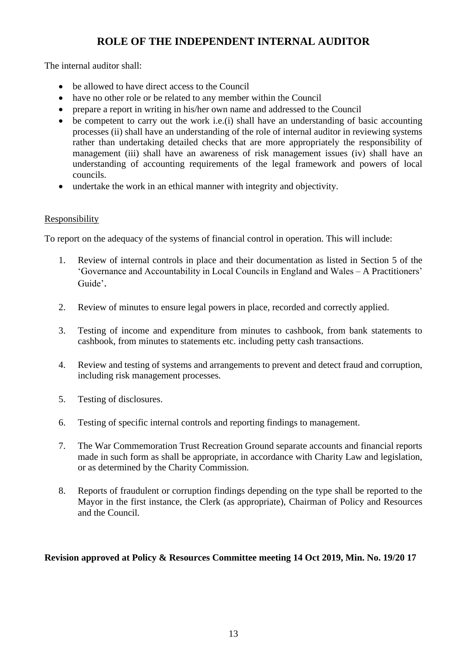# **ROLE OF THE INDEPENDENT INTERNAL AUDITOR**

The internal auditor shall:

- be allowed to have direct access to the Council
- have no other role or be related to any member within the Council
- prepare a report in writing in his/her own name and addressed to the Council
- be competent to carry out the work i.e.(i) shall have an understanding of basic accounting processes (ii) shall have an understanding of the role of internal auditor in reviewing systems rather than undertaking detailed checks that are more appropriately the responsibility of management (iii) shall have an awareness of risk management issues (iv) shall have an understanding of accounting requirements of the legal framework and powers of local councils.
- undertake the work in an ethical manner with integrity and objectivity.

# **Responsibility**

To report on the adequacy of the systems of financial control in operation. This will include:

- 1. Review of internal controls in place and their documentation as listed in Section 5 of the 'Governance and Accountability in Local Councils in England and Wales – A Practitioners' Guide'.
- 2. Review of minutes to ensure legal powers in place, recorded and correctly applied.
- 3. Testing of income and expenditure from minutes to cashbook, from bank statements to cashbook, from minutes to statements etc. including petty cash transactions.
- 4. Review and testing of systems and arrangements to prevent and detect fraud and corruption, including risk management processes*.*
- 5. Testing of disclosures.
- 6. Testing of specific internal controls and reporting findings to management.
- 7. The War Commemoration Trust Recreation Ground separate accounts and financial reports made in such form as shall be appropriate, in accordance with Charity Law and legislation, or as determined by the Charity Commission*.*
- 8. Reports of fraudulent or corruption findings depending on the type shall be reported to the Mayor in the first instance, the Clerk (as appropriate), Chairman of Policy and Resources and the Council*.*

# **Revision approved at Policy & Resources Committee meeting 14 Oct 2019, Min. No. 19/20 17**